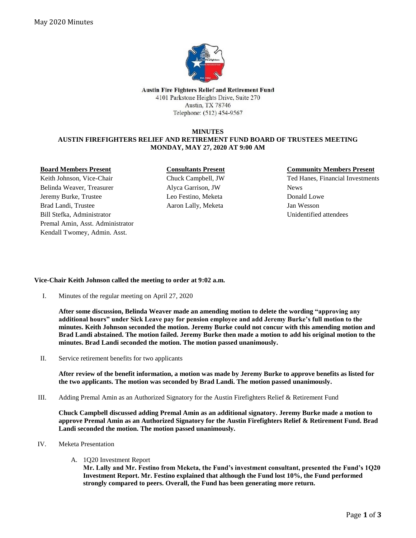

**Austin Fire Fighters Relief and Retirement Fund** 4101 Parkstone Heights Drive, Suite 270 Austin, TX 78746 Telephone: (512) 454-9567

## **MINUTES AUSTIN FIREFIGHTERS RELIEF AND RETIREMENT FUND BOARD OF TRUSTEES MEETING MONDAY, MAY 27, 2020 AT 9:00 AM**

### **Board Members Present**

Keith Johnson, Vice-Chair Belinda Weaver, Treasurer Jeremy Burke, Trustee Brad Landi, Trustee Bill Stefka, Administrator Premal Amin, Asst. Administrator Kendall Twomey, Admin. Asst.

### **Consultants Present**

Chuck Campbell, JW Alyca Garrison, JW Leo Festino, Meketa Aaron Lally, Meketa

### **Community Members Present**

Ted Hanes, Financial Investments News Donald Lowe Jan Wesson Unidentified attendees

# **Vice-Chair Keith Johnson called the meeting to order at 9:02 a.m.**

I. Minutes of the regular meeting on April 27, 2020

**After some discussion, Belinda Weaver made an amending motion to delete the wording "approving any additional hours" under Sick Leave pay for pension employee and add Jeremy Burke's full motion to the minutes. Keith Johnson seconded the motion. Jeremy Burke could not concur with this amending motion and Brad Landi abstained. The motion failed. Jeremy Burke then made a motion to add his original motion to the minutes. Brad Landi seconded the motion. The motion passed unanimously.**

II. Service retirement benefits for two applicants

**After review of the benefit information, a motion was made by Jeremy Burke to approve benefits as listed for the two applicants. The motion was seconded by Brad Landi. The motion passed unanimously.**

III. Adding Premal Amin as an Authorized Signatory for the Austin Firefighters Relief & Retirement Fund

**Chuck Campbell discussed adding Premal Amin as an additional signatory. Jeremy Burke made a motion to approve Premal Amin as an Authorized Signatory for the Austin Firefighters Relief & Retirement Fund. Brad Landi seconded the motion. The motion passed unanimously.** 

- IV. Meketa Presentation
	- A. 1Q20 Investment Report

**Mr. Lally and Mr. Festino from Meketa, the Fund's investment consultant, presented the Fund's 1Q20 Investment Report. Mr. Festino explained that although the Fund lost 10%, the Fund performed strongly compared to peers. Overall, the Fund has been generating more return.**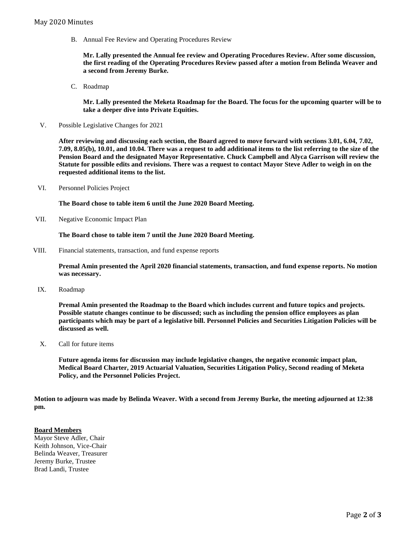B. Annual Fee Review and Operating Procedures Review

**Mr. Lally presented the Annual fee review and Operating Procedures Review. After some discussion, the first reading of the Operating Procedures Review passed after a motion from Belinda Weaver and a second from Jeremy Burke.** 

C. Roadmap

**Mr. Lally presented the Meketa Roadmap for the Board. The focus for the upcoming quarter will be to take a deeper dive into Private Equities.** 

V. Possible Legislative Changes for 2021

**After reviewing and discussing each section, the Board agreed to move forward with sections 3.01, 6.04, 7.02, 7.09, 8.05(b), 10.01, and 10.04. There was a request to add additional items to the list referring to the size of the Pension Board and the designated Mayor Representative. Chuck Campbell and Alyca Garrison will review the Statute for possible edits and revisions. There was a request to contact Mayor Steve Adler to weigh in on the requested additional items to the list.** 

VI. Personnel Policies Project

**The Board chose to table item 6 until the June 2020 Board Meeting.** 

VII. Negative Economic Impact Plan

**The Board chose to table item 7 until the June 2020 Board Meeting.** 

VIII. Financial statements, transaction, and fund expense reports

**Premal Amin presented the April 2020 financial statements, transaction, and fund expense reports. No motion was necessary.**

IX. Roadmap

**Premal Amin presented the Roadmap to the Board which includes current and future topics and projects. Possible statute changes continue to be discussed; such as including the pension office employees as plan participants which may be part of a legislative bill. Personnel Policies and Securities Litigation Policies will be discussed as well.** 

X. Call for future items

**Future agenda items for discussion may include legislative changes, the negative economic impact plan, Medical Board Charter, 2019 Actuarial Valuation, Securities Litigation Policy, Second reading of Meketa Policy, and the Personnel Policies Project.** 

**Motion to adjourn was made by Belinda Weaver. With a second from Jeremy Burke, the meeting adjourned at 12:38 pm.** 

#### **Board Members**

Mayor Steve Adler, Chair Keith Johnson, Vice-Chair Belinda Weaver, Treasurer Jeremy Burke, Trustee Brad Landi, Trustee